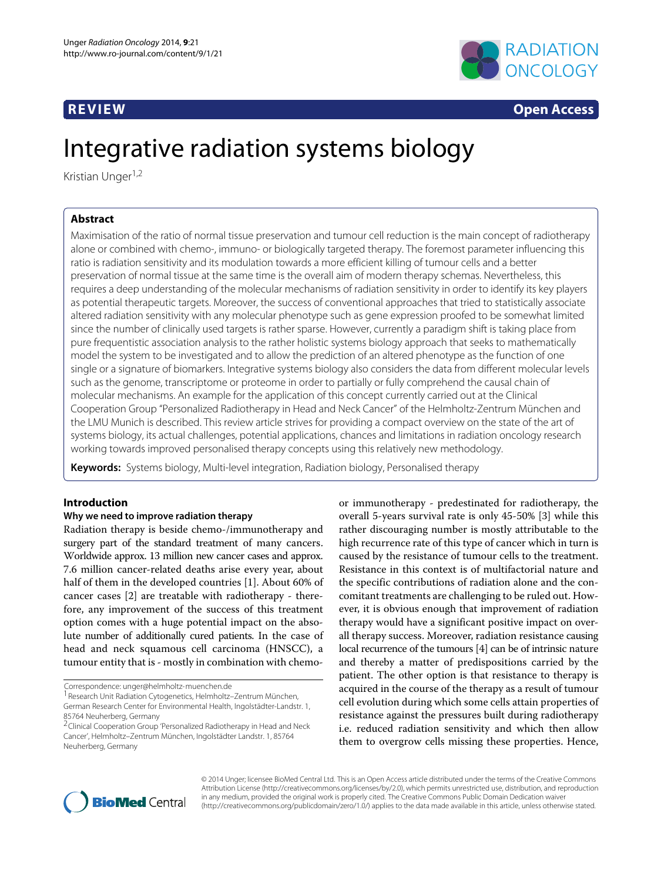

**REVIEW Open Access**

# Integrative radiation systems biology

Kristian Unger<sup>1,2</sup>

# **Abstract**

Maximisation of the ratio of normal tissue preservation and tumour cell reduction is the main concept of radiotherapy alone or combined with chemo-, immuno- or biologically targeted therapy. The foremost parameter influencing this ratio is radiation sensitivity and its modulation towards a more efficient killing of tumour cells and a better preservation of normal tissue at the same time is the overall aim of modern therapy schemas. Nevertheless, this requires a deep understanding of the molecular mechanisms of radiation sensitivity in order to identify its key players as potential therapeutic targets. Moreover, the success of conventional approaches that tried to statistically associate altered radiation sensitivity with any molecular phenotype such as gene expression proofed to be somewhat limited since the number of clinically used targets is rather sparse. However, currently a paradigm shift is taking place from pure frequentistic association analysis to the rather holistic systems biology approach that seeks to mathematically model the system to be investigated and to allow the prediction of an altered phenotype as the function of one single or a signature of biomarkers. Integrative systems biology also considers the data from different molecular levels such as the genome, transcriptome or proteome in order to partially or fully comprehend the causal chain of molecular mechanisms. An example for the application of this concept currently carried out at the Clinical Cooperation Group "Personalized Radiotherapy in Head and Neck Cancer" of the Helmholtz-Zentrum München and the LMU Munich is described. This review article strives for providing a compact overview on the state of the art of systems biology, its actual challenges, potential applications, chances and limitations in radiation oncology research working towards improved personalised therapy concepts using this relatively new methodology.

**Keywords:** Systems biology, Multi-level integration, Radiation biology, Personalised therapy

# **Introduction**

#### **Why we need to improve radiation therapy**

Radiation therapy is beside chemo-/immunotherapy and surgery part of the standard treatment of many cancers. Worldwide approx. 13 million new cancer cases and approx. 7.6 million cancer-related deaths arise every year, about half of them in the developed countries [\[1\]](#page-7-0). About 60% of cancer cases [\[2\]](#page-7-1) are treatable with radiotherapy - therefore, any improvement of the success of this treatment option comes with a huge potential impact on the absolute number of additionally cured patients. In the case of head and neck squamous cell carcinoma (HNSCC), a tumour entity that is - mostly in combination with chemo-

Correspondence: [unger@helmholtz-muenchen.de](mailto:unger@helmholtz-muenchen.de)

<sup>1</sup> Research Unit Radiation Cytogenetics, Helmholtz–Zentrum München, German Research Center for Environmental Health, Ingolstädter-Landstr. 1, 85764 Neuherberg, Germany

2Clinical Cooperation Group 'Personalized Radiotherapy in Head and Neck Cancer', Helmholtz–Zentrum München, Ingolstädter Landstr. 1, 85764 Neuherberg, Germany

or immunotherapy - predestinated for radiotherapy, the overall 5-years survival rate is only 45-50% [\[3\]](#page-7-2) while this rather discouraging number is mostly attributable to the high recurrence rate of this type of cancer which in turn is caused by the resistance of tumour cells to the treatment. Resistance in this context is of multifactorial nature and the specific contributions of radiation alone and the concomitant treatments are challenging to be ruled out. However, it is obvious enough that improvement of radiation therapy would have a significant positive impact on overall therapy success. Moreover, radiation resistance causing local recurrence of the tumours [\[4\]](#page-7-3) can be of intrinsic nature and thereby a matter of predispositions carried by the patient. The other option is that resistance to therapy is acquired in the course of the therapy as a result of tumour cell evolution during which some cells attain properties of resistance against the pressures built during radiotherapy i.e. reduced radiation sensitivity and which then allow them to overgrow cells missing these properties. Hence,



© 2014 Unger; licensee BioMed Central Ltd. This is an Open Access article distributed under the terms of the Creative Commons Attribution License [\(http://creativecommons.org/licenses/by/2.0\)](http://creativecommons.org/licenses/by/2.0), which permits unrestricted use, distribution, and reproduction in any medium, provided the original work is properly cited. The Creative Commons Public Domain Dedication waiver (http://creativecommons.org/publicdomain/zero/1.0/) applies to the data made available in this article, unless otherwise stated.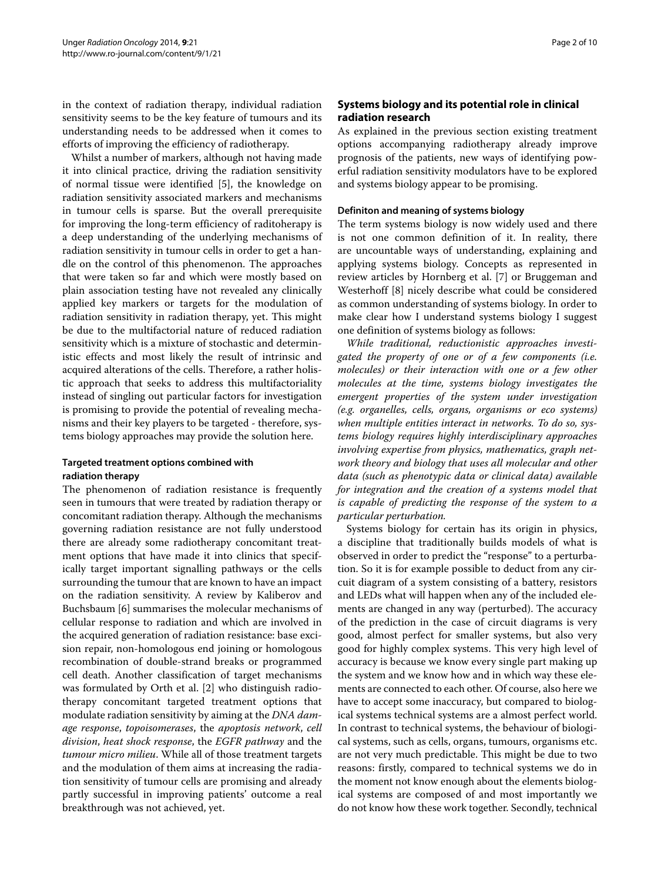in the context of radiation therapy, individual radiation sensitivity seems to be the key feature of tumours and its understanding needs to be addressed when it comes to efforts of improving the efficiency of radiotherapy.

Whilst a number of markers, although not having made it into clinical practice, driving the radiation sensitivity of normal tissue were identified [\[5\]](#page-7-4), the knowledge on radiation sensitivity associated markers and mechanisms in tumour cells is sparse. But the overall prerequisite for improving the long-term efficiency of raditoherapy is a deep understanding of the underlying mechanisms of radiation sensitivity in tumour cells in order to get a handle on the control of this phenomenon. The approaches that were taken so far and which were mostly based on plain association testing have not revealed any clinically applied key markers or targets for the modulation of radiation sensitivity in radiation therapy, yet. This might be due to the multifactorial nature of reduced radiation sensitivity which is a mixture of stochastic and deterministic effects and most likely the result of intrinsic and acquired alterations of the cells. Therefore, a rather holistic approach that seeks to address this multifactoriality instead of singling out particular factors for investigation is promising to provide the potential of revealing mechanisms and their key players to be targeted - therefore, systems biology approaches may provide the solution here.

## **Targeted treatment options combined with radiation therapy**

The phenomenon of radiation resistance is frequently seen in tumours that were treated by radiation therapy or concomitant radiation therapy. Although the mechanisms governing radiation resistance are not fully understood there are already some radiotherapy concomitant treatment options that have made it into clinics that specifically target important signalling pathways or the cells surrounding the tumour that are known to have an impact on the radiation sensitivity. A review by Kaliberov and Buchsbaum [\[6\]](#page-7-5) summarises the molecular mechanisms of cellular response to radiation and which are involved in the acquired generation of radiation resistance: base excision repair, non-homologous end joining or homologous recombination of double-strand breaks or programmed cell death. Another classification of target mechanisms was formulated by Orth et al. [\[2\]](#page-7-1) who distinguish radiotherapy concomitant targeted treatment options that modulate radiation sensitivity by aiming at the *DNA damage response*, *topoisomerases*, the *apoptosis network*, *cell division*, *heat shock response*, the *EGFR pathway* and the *tumour micro milieu*. While all of those treatment targets and the modulation of them aims at increasing the radiation sensitivity of tumour cells are promising and already partly successful in improving patients' outcome a real breakthrough was not achieved, yet.

# **Systems biology and its potential role in clinical radiation research**

As explained in the previous section existing treatment options accompanying radiotherapy already improve prognosis of the patients, new ways of identifying powerful radiation sensitivity modulators have to be explored and systems biology appear to be promising.

#### **Definiton and meaning of systems biology**

The term systems biology is now widely used and there is not one common definition of it. In reality, there are uncountable ways of understanding, explaining and applying systems biology. Concepts as represented in review articles by Hornberg et al. [\[7\]](#page-7-6) or Bruggeman and Westerhoff [\[8\]](#page-7-7) nicely describe what could be considered as common understanding of systems biology. In order to make clear how I understand systems biology I suggest one definition of systems biology as follows:

*While traditional, reductionistic approaches investigated the property of one or of a few components (i.e. molecules) or their interaction with one or a few other molecules at the time, systems biology investigates the emergent properties of the system under investigation (e.g. organelles, cells, organs, organisms or eco systems) when multiple entities interact in networks. To do so, systems biology requires highly interdisciplinary approaches involving expertise from physics, mathematics, graph network theory and biology that uses all molecular and other data (such as phenotypic data or clinical data) available for integration and the creation of a systems model that is capable of predicting the response of the system to a particular perturbation.*

Systems biology for certain has its origin in physics, a discipline that traditionally builds models of what is observed in order to predict the "response" to a perturbation. So it is for example possible to deduct from any circuit diagram of a system consisting of a battery, resistors and LEDs what will happen when any of the included elements are changed in any way (perturbed). The accuracy of the prediction in the case of circuit diagrams is very good, almost perfect for smaller systems, but also very good for highly complex systems. This very high level of accuracy is because we know every single part making up the system and we know how and in which way these elements are connected to each other. Of course, also here we have to accept some inaccuracy, but compared to biological systems technical systems are a almost perfect world. In contrast to technical systems, the behaviour of biological systems, such as cells, organs, tumours, organisms etc. are not very much predictable. This might be due to two reasons: firstly, compared to technical systems we do in the moment not know enough about the elements biological systems are composed of and most importantly we do not know how these work together. Secondly, technical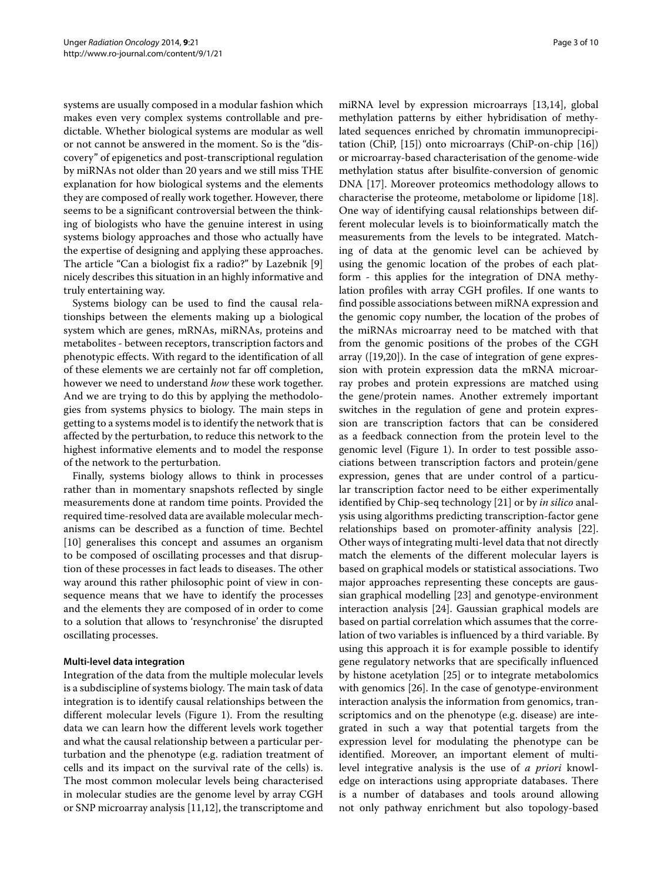systems are usually composed in a modular fashion which makes even very complex systems controllable and predictable. Whether biological systems are modular as well or not cannot be answered in the moment. So is the "discovery" of epigenetics and post-transcriptional regulation by miRNAs not older than 20 years and we still miss THE explanation for how biological systems and the elements they are composed of really work together. However, there seems to be a significant controversial between the thinking of biologists who have the genuine interest in using systems biology approaches and those who actually have the expertise of designing and applying these approaches. The article "Can a biologist fix a radio?" by Lazebnik [\[9\]](#page-7-8) nicely describes this situation in an highly informative and truly entertaining way.

Systems biology can be used to find the causal relationships between the elements making up a biological system which are genes, mRNAs, miRNAs, proteins and metabolites - between receptors, transcription factors and phenotypic effects. With regard to the identification of all of these elements we are certainly not far off completion, however we need to understand *how* these work together. And we are trying to do this by applying the methodologies from systems physics to biology. The main steps in getting to a systems model is to identify the network that is affected by the perturbation, to reduce this network to the highest informative elements and to model the response of the network to the perturbation.

Finally, systems biology allows to think in processes rather than in momentary snapshots reflected by single measurements done at random time points. Provided the required time-resolved data are available molecular mechanisms can be described as a function of time. Bechtel [\[10\]](#page-7-9) generalises this concept and assumes an organism to be composed of oscillating processes and that disruption of these processes in fact leads to diseases. The other way around this rather philosophic point of view in consequence means that we have to identify the processes and the elements they are composed of in order to come to a solution that allows to 'resynchronise' the disrupted oscillating processes.

## **Multi-level data integration**

Integration of the data from the multiple molecular levels is a subdiscipline of systems biology. The main task of data integration is to identify causal relationships between the different molecular levels (Figure [1\)](#page-3-0). From the resulting data we can learn how the different levels work together and what the causal relationship between a particular perturbation and the phenotype (e.g. radiation treatment of cells and its impact on the survival rate of the cells) is. The most common molecular levels being characterised in molecular studies are the genome level by array CGH or SNP microarray analysis [\[11,](#page-7-10)[12\]](#page-7-11), the transcriptome and

miRNA level by expression microarrays [\[13,](#page-8-0)[14\]](#page-8-1), global methylation patterns by either hybridisation of methylated sequences enriched by chromatin immunoprecipitation (ChiP, [\[15\]](#page-8-2)) onto microarrays (ChiP-on-chip [\[16\]](#page-8-3)) or microarray-based characterisation of the genome-wide methylation status after bisulfite-conversion of genomic DNA [\[17\]](#page-8-4). Moreover proteomics methodology allows to characterise the proteome, metabolome or lipidome [\[18\]](#page-8-5). One way of identifying causal relationships between different molecular levels is to bioinformatically match the measurements from the levels to be integrated. Matching of data at the genomic level can be achieved by using the genomic location of the probes of each platform - this applies for the integration of DNA methylation profiles with array CGH profiles. If one wants to find possible associations between miRNA expression and the genomic copy number, the location of the probes of the miRNAs microarray need to be matched with that from the genomic positions of the probes of the CGH array ([\[19,](#page-8-6)[20\]](#page-8-7)). In the case of integration of gene expression with protein expression data the mRNA microarray probes and protein expressions are matched using the gene/protein names. Another extremely important switches in the regulation of gene and protein expression are transcription factors that can be considered as a feedback connection from the protein level to the genomic level (Figure [1\)](#page-3-0). In order to test possible associations between transcription factors and protein/gene expression, genes that are under control of a particular transcription factor need to be either experimentally identified by Chip-seq technology [\[21\]](#page-8-8) or by *in silico* analysis using algorithms predicting transcription-factor gene relationships based on promoter-affinity analysis [\[22\]](#page-8-9). Other ways of integrating multi-level data that not directly match the elements of the different molecular layers is based on graphical models or statistical associations. Two major approaches representing these concepts are gaussian graphical modelling [\[23\]](#page-8-10) and genotype-environment interaction analysis [\[24\]](#page-8-11). Gaussian graphical models are based on partial correlation which assumes that the correlation of two variables is influenced by a third variable. By using this approach it is for example possible to identify gene regulatory networks that are specifically influenced by histone acetylation [\[25\]](#page-8-12) or to integrate metabolomics with genomics [\[26\]](#page-8-13). In the case of genotype-environment interaction analysis the information from genomics, transcriptomics and on the phenotype (e.g. disease) are integrated in such a way that potential targets from the expression level for modulating the phenotype can be identified. Moreover, an important element of multilevel integrative analysis is the use of *a priori* knowledge on interactions using appropriate databases. There is a number of databases and tools around allowing not only pathway enrichment but also topology-based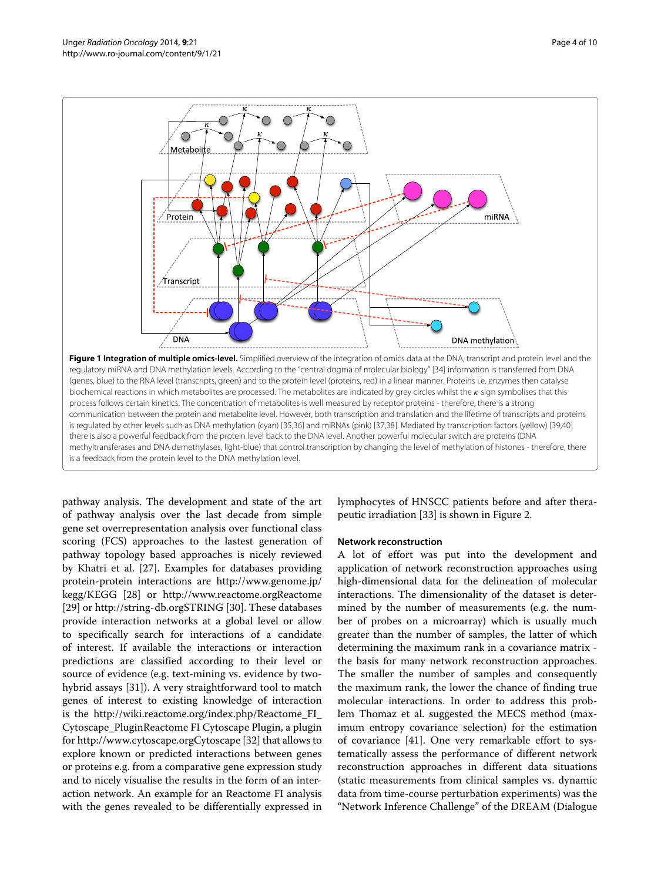

<span id="page-3-0"></span>methyltransferases and DNA demethylases, light-blue) that control transcription by changing the level of methylation of histones - therefore, there is a feedback from the protein level to the DNA methylation level.

pathway analysis. The development and state of the art of pathway analysis over the last decade from simple gene set overrepresentation analysis over functional class scoring (FCS) approaches to the lastest generation of pathway topology based approaches is nicely reviewed by Khatri et al. [\[27\]](#page-8-21). Examples for databases providing protein-protein interactions are [http://www.genome.jp/](http://www.genome.jp/kegg/KEGG) [kegg/KEGG](http://www.genome.jp/kegg/KEGG) [\[28\]](#page-8-22) or<http://www.reactome.orgReactome> [\[29\]](#page-8-23) or<http://string-db.orgSTRING> [\[30\]](#page-8-24). These databases provide interaction networks at a global level or allow to specifically search for interactions of a candidate of interest. If available the interactions or interaction predictions are classified according to their level or source of evidence (e.g. text-mining vs. evidence by twohybrid assays [\[31\]](#page-8-25)). A very straightforward tool to match genes of interest to existing knowledge of interaction is the [http://wiki.reactome.org/index.php/Reactome\\_FI\\_](http://wiki.reactome.org/index.php/Reactome_FI_Cytoscape_PluginReactome FI Cytoscape Plugin) [Cytoscape\\_PluginReactome FI Cytoscape Plugin,](http://wiki.reactome.org/index.php/Reactome_FI_Cytoscape_PluginReactome FI Cytoscape Plugin) a plugin for<http://www.cytoscape.orgCytoscape> [\[32\]](#page-8-26) that allows to explore known or predicted interactions between genes or proteins e.g. from a comparative gene expression study and to nicely visualise the results in the form of an interaction network. An example for an Reactome FI analysis with the genes revealed to be differentially expressed in lymphocytes of HNSCC patients before and after therapeutic irradiation [\[33\]](#page-8-27) is shown in Figure [2.](#page-4-0)

## **Network reconstruction**

A lot of effort was put into the development and application of network reconstruction approaches using high-dimensional data for the delineation of molecular interactions. The dimensionality of the dataset is determined by the number of measurements (e.g. the number of probes on a microarray) which is usually much greater than the number of samples, the latter of which determining the maximum rank in a covariance matrix the basis for many network reconstruction approaches. The smaller the number of samples and consequently the maximum rank, the lower the chance of finding true molecular interactions. In order to address this problem Thomaz et al. suggested the MECS method (maximum entropy covariance selection) for the estimation of covariance [\[41\]](#page-8-28). One very remarkable effort to systematically assess the performance of different network reconstruction approaches in different data situations (static measurements from clinical samples vs. dynamic data from time-course perturbation experiments) was the "Network Inference Challenge" of the DREAM (Dialogue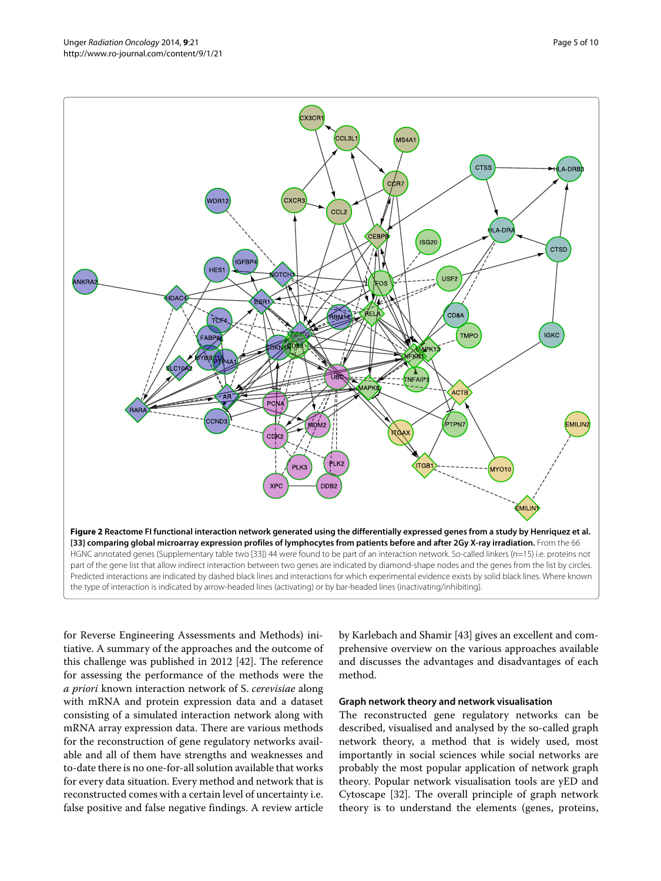

<span id="page-4-0"></span>for Reverse Engineering Assessments and Methods) initiative. A summary of the approaches and the outcome of this challenge was published in 2012 [\[42\]](#page-8-29). The reference for assessing the performance of the methods were the *a priori* known interaction network of S. *cerevisiae* along with mRNA and protein expression data and a dataset consisting of a simulated interaction network along with mRNA array expression data. There are various methods for the reconstruction of gene regulatory networks available and all of them have strengths and weaknesses and to-date there is no one-for-all solution available that works for every data situation. Every method and network that is reconstructed comes with a certain level of uncertainty i.e. false positive and false negative findings. A review article

by Karlebach and Shamir [\[43\]](#page-8-30) gives an excellent and comprehensive overview on the various approaches available and discusses the advantages and disadvantages of each method.

#### **Graph network theory and network visualisation**

The reconstructed gene regulatory networks can be described, visualised and analysed by the so-called graph network theory, a method that is widely used, most importantly in social sciences while social networks are probably the most popular application of network graph theory. Popular network visualisation tools are yED and Cytoscape [\[32\]](#page-8-26). The overall principle of graph network theory is to understand the elements (genes, proteins,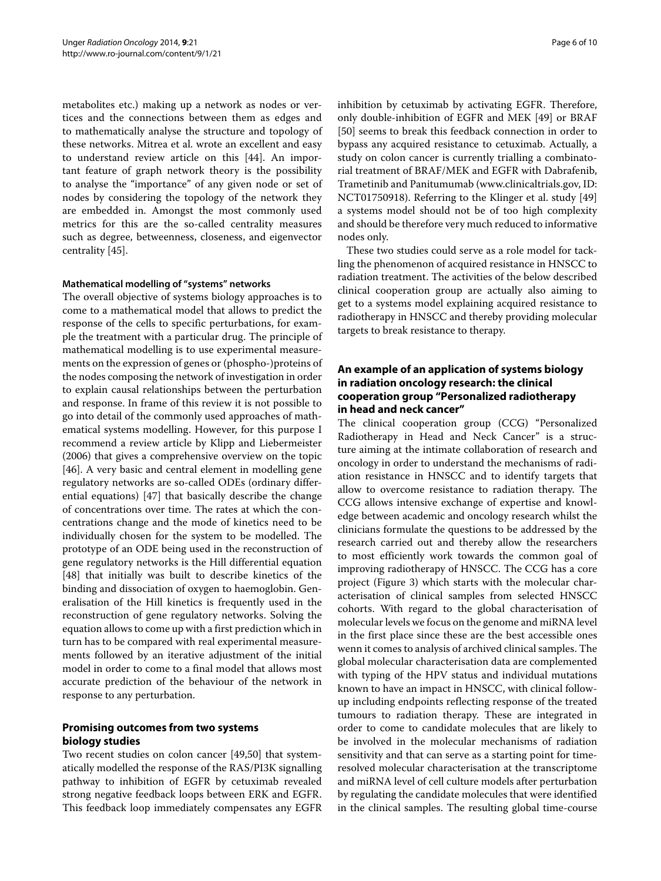metabolites etc.) making up a network as nodes or vertices and the connections between them as edges and to mathematically analyse the structure and topology of these networks. Mitrea et al. wrote an excellent and easy to understand review article on this [\[44\]](#page-8-31). An important feature of graph network theory is the possibility to analyse the "importance" of any given node or set of nodes by considering the topology of the network they are embedded in. Amongst the most commonly used metrics for this are the so-called centrality measures such as degree, betweenness, closeness, and eigenvector centrality [\[45\]](#page-8-32).

#### **Mathematical modelling of "systems" networks**

The overall objective of systems biology approaches is to come to a mathematical model that allows to predict the response of the cells to specific perturbations, for example the treatment with a particular drug. The principle of mathematical modelling is to use experimental measurements on the expression of genes or (phospho-)proteins of the nodes composing the network of investigation in order to explain causal relationships between the perturbation and response. In frame of this review it is not possible to go into detail of the commonly used approaches of mathematical systems modelling. However, for this purpose I recommend a review article by Klipp and Liebermeister (2006) that gives a comprehensive overview on the topic [\[46\]](#page-8-33). A very basic and central element in modelling gene regulatory networks are so-called ODEs (ordinary differential equations) [\[47\]](#page-8-34) that basically describe the change of concentrations over time. The rates at which the concentrations change and the mode of kinetics need to be individually chosen for the system to be modelled. The prototype of an ODE being used in the reconstruction of gene regulatory networks is the Hill differential equation [\[48\]](#page-8-35) that initially was built to describe kinetics of the binding and dissociation of oxygen to haemoglobin. Generalisation of the Hill kinetics is frequently used in the reconstruction of gene regulatory networks. Solving the equation allows to come up with a first prediction which in turn has to be compared with real experimental measurements followed by an iterative adjustment of the initial model in order to come to a final model that allows most accurate prediction of the behaviour of the network in response to any perturbation.

# **Promising outcomes from two systems biology studies**

Two recent studies on colon cancer [\[49,](#page-8-36)[50\]](#page-9-0) that systematically modelled the response of the RAS/PI3K signalling pathway to inhibition of EGFR by cetuximab revealed strong negative feedback loops between ERK and EGFR. This feedback loop immediately compensates any EGFR inhibition by cetuximab by activating EGFR. Therefore, only double-inhibition of EGFR and MEK [\[49\]](#page-8-36) or BRAF [\[50\]](#page-9-0) seems to break this feedback connection in order to bypass any acquired resistance to cetuximab. Actually, a study on colon cancer is currently trialling a combinatorial treatment of BRAF/MEK and EGFR with Dabrafenib, Trametinib and Panitumumab [\(www.clinicaltrials.gov, ID:](http://www.clinicaltrials.gov, ID: NCT01750918) [NCT01750918\)](http://www.clinicaltrials.gov, ID: NCT01750918). Referring to the Klinger et al. study [\[49\]](#page-8-36) a systems model should not be of too high complexity and should be therefore very much reduced to informative nodes only.

These two studies could serve as a role model for tackling the phenomenon of acquired resistance in HNSCC to radiation treatment. The activities of the below described clinical cooperation group are actually also aiming to get to a systems model explaining acquired resistance to radiotherapy in HNSCC and thereby providing molecular targets to break resistance to therapy.

# **An example of an application of systems biology in radiation oncology research: the clinical cooperation group "Personalized radiotherapy in head and neck cancer"**

The clinical cooperation group (CCG) "Personalized Radiotherapy in Head and Neck Cancer" is a structure aiming at the intimate collaboration of research and oncology in order to understand the mechanisms of radiation resistance in HNSCC and to identify targets that allow to overcome resistance to radiation therapy. The CCG allows intensive exchange of expertise and knowledge between academic and oncology research whilst the clinicians formulate the questions to be addressed by the research carried out and thereby allow the researchers to most efficiently work towards the common goal of improving radiotherapy of HNSCC. The CCG has a core project (Figure [3\)](#page-6-0) which starts with the molecular characterisation of clinical samples from selected HNSCC cohorts. With regard to the global characterisation of molecular levels we focus on the genome and miRNA level in the first place since these are the best accessible ones wenn it comes to analysis of archived clinical samples. The global molecular characterisation data are complemented with typing of the HPV status and individual mutations known to have an impact in HNSCC, with clinical followup including endpoints reflecting response of the treated tumours to radiation therapy. These are integrated in order to come to candidate molecules that are likely to be involved in the molecular mechanisms of radiation sensitivity and that can serve as a starting point for timeresolved molecular characterisation at the transcriptome and miRNA level of cell culture models after perturbation by regulating the candidate molecules that were identified in the clinical samples. The resulting global time-course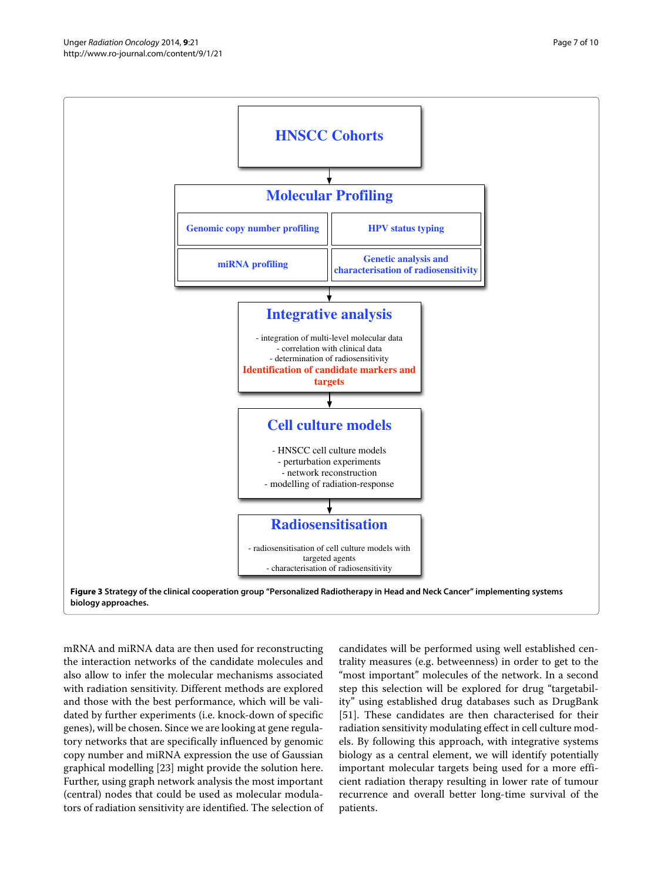

<span id="page-6-0"></span>mRNA and miRNA data are then used for reconstructing the interaction networks of the candidate molecules and also allow to infer the molecular mechanisms associated with radiation sensitivity. Different methods are explored and those with the best performance, which will be validated by further experiments (i.e. knock-down of specific genes), will be chosen. Since we are looking at gene regulatory networks that are specifically influenced by genomic copy number and miRNA expression the use of Gaussian graphical modelling [\[23\]](#page-8-10) might provide the solution here. Further, using graph network analysis the most important (central) nodes that could be used as molecular modulators of radiation sensitivity are identified. The selection of candidates will be performed using well established centrality measures (e.g. betweenness) in order to get to the "most important" molecules of the network. In a second step this selection will be explored for drug "targetability" using established drug databases such as DrugBank [\[51\]](#page-9-1). These candidates are then characterised for their radiation sensitivity modulating effect in cell culture models. By following this approach, with integrative systems biology as a central element, we will identify potentially important molecular targets being used for a more efficient radiation therapy resulting in lower rate of tumour recurrence and overall better long-time survival of the patients.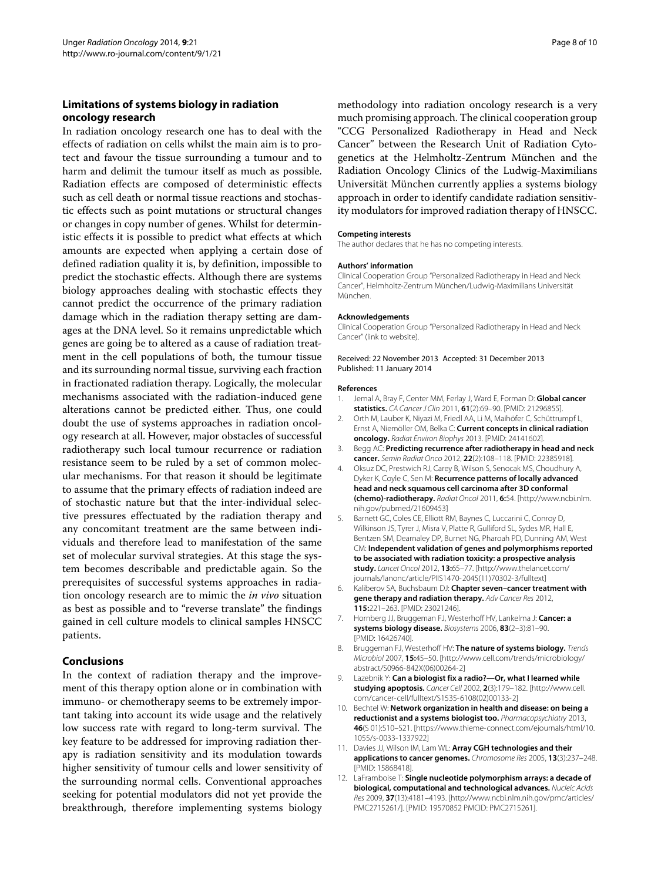# **Limitations of systems biology in radiation oncology research**

In radiation oncology research one has to deal with the effects of radiation on cells whilst the main aim is to protect and favour the tissue surrounding a tumour and to harm and delimit the tumour itself as much as possible. Radiation effects are composed of deterministic effects such as cell death or normal tissue reactions and stochastic effects such as point mutations or structural changes or changes in copy number of genes. Whilst for deterministic effects it is possible to predict what effects at which amounts are expected when applying a certain dose of defined radiation quality it is, by definition, impossible to predict the stochastic effects. Although there are systems biology approaches dealing with stochastic effects they cannot predict the occurrence of the primary radiation damage which in the radiation therapy setting are damages at the DNA level. So it remains unpredictable which genes are going be to altered as a cause of radiation treatment in the cell populations of both, the tumour tissue and its surrounding normal tissue, surviving each fraction in fractionated radiation therapy. Logically, the molecular mechanisms associated with the radiation-induced gene alterations cannot be predicted either. Thus, one could doubt the use of systems approaches in radiation oncology research at all. However, major obstacles of successful radiotherapy such local tumour recurrence or radiation resistance seem to be ruled by a set of common molecular mechanisms. For that reason it should be legitimate to assume that the primary effects of radiation indeed are of stochastic nature but that the inter-individual selective pressures effectuated by the radiation therapy and any concomitant treatment are the same between individuals and therefore lead to manifestation of the same set of molecular survival strategies. At this stage the system becomes describable and predictable again. So the prerequisites of successful systems approaches in radiation oncology research are to mimic the *in vivo* situation as best as possible and to "reverse translate" the findings gained in cell culture models to clinical samples HNSCC patients.

# **Conclusions**

In the context of radiation therapy and the improvement of this therapy option alone or in combination with immuno- or chemotherapy seems to be extremely important taking into account its wide usage and the relatively low success rate with regard to long-term survival. The key feature to be addressed for improving radiation therapy is radiation sensitivity and its modulation towards higher sensitivity of tumour cells and lower sensitivity of the surrounding normal cells. Conventional approaches seeking for potential modulators did not yet provide the breakthrough, therefore implementing systems biology methodology into radiation oncology research is a very much promising approach. The clinical cooperation group "CCG Personalized Radiotherapy in Head and Neck Cancer" between the Research Unit of Radiation Cytogenetics at the Helmholtz-Zentrum München and the Radiation Oncology Clinics of the Ludwig-Maximilians Universität München currently applies a systems biology approach in order to identify candidate radiation sensitivity modulators for improved radiation therapy of HNSCC.

#### **Competing interests**

The author declares that he has no competing interests.

#### **Authors' information**

Clinical Cooperation Group "Personalized Radiotherapy in Head and Neck Cancer", Helmholtz-Zentrum München/Ludwig-Maximilians Universität München.

#### **Acknowledgements**

Clinical Cooperation Group "Personalized Radiotherapy in Head and Neck Cancer" (link to [website\)](http://www.helmholtz-muenchen.de/en/research/research-institutions/clinical-cooperation-groups/personalized-radiotherapy-in-head-and-neck-cancer/research/index.html).

#### Received: 22 November 2013 Accepted: 31 December 2013 Published: 11 January 2014

#### **References**

- <span id="page-7-0"></span>1. Jemal A, Bray F, Center MM, Ferlay J, Ward E, Forman D: **Global cancer statistics.** CA Cancer J Clin 2011, **61**(2):69–90. [PMID: 21296855].
- <span id="page-7-1"></span>2. Orth M, Lauber K, Niyazi M, Friedl AA, Li M, Maihöfer C, Schüttrumpf L, Ernst A, Niemöller OM, Belka C: **Current concepts in clinical radiation oncology.** Radiat Environ Biophys 2013. [PMID: 24141602].
- <span id="page-7-2"></span>3. Begg AC: **Predicting recurrence after radiotherapy in head and neck cancer.** Semin Radiat Onco 2012, **22**(2):108–118. [PMID: 22385918].
- <span id="page-7-3"></span>4. Oksuz DC, Prestwich RJ, Carey B, Wilson S, Senocak MS, Choudhury A, Dyker K, Coyle C, Sen M: **Recurrence patterns of locally advanced head and neck squamous cell carcinoma after 3D conformal (chemo)-radiotherapy.** Radiat Oncol 2011, **6:**54. [\[http://www.ncbi.nlm.](http://www.ncbi.nlm.nih.gov/pubmed/21609453) [nih.gov/pubmed/21609453\]](http://www.ncbi.nlm.nih.gov/pubmed/21609453)
- <span id="page-7-4"></span>5. Barnett GC, Coles CE, Elliott RM, Baynes C, Luccarini C, Conroy D, Wilkinson JS, Tyrer J, Misra V, Platte R, Gulliford SL, Sydes MR, Hall E, Bentzen SM, Dearnaley DP, Burnet NG, Pharoah PD, Dunning AM, West CM: **Independent validation of genes and polymorphisms reported to be associated with radiation toxicity: a prospective analysis study.** Lancet Oncol 2012, **13:**65–77. [\[http://www.thelancet.com/](http://www.thelancet.com/journals/lanonc/article/PIIS1470-2045(11)70302-3/fulltext) [journals/lanonc/article/PIIS1470-2045\(11\)70302-3/fulltext\]](http://www.thelancet.com/journals/lanonc/article/PIIS1470-2045(11)70302-3/fulltext)
- <span id="page-7-5"></span>6. Kaliberov SA, Buchsbaum DJ: **Chapter seven–cancer treatment with gene therapy and radiation therapy.** Adv Cancer Res 2012, **115:**221–263. [PMID: 23021246].
- <span id="page-7-6"></span>7. Hornberg JJ, Bruggeman FJ, Westerhoff HV, Lankelma J: **Cancer: a systems biology disease.** Biosystems 2006, **83**(2–3):81–90. [PMID: 16426740].
- <span id="page-7-7"></span>8. Bruggeman FJ, Westerhoff HV: The nature of systems biology. Trends Microbiol 2007, **15:**45–50. [\[http://www.cell.com/trends/microbiology/](http://www.cell.com/trends/microbiology/abstract/S0966-842X(06)00264-2) [abstract/S0966-842X\(06\)00264-2\]](http://www.cell.com/trends/microbiology/abstract/S0966-842X(06)00264-2)
- <span id="page-7-8"></span>9. Lazebnik Y: **Can a biologist fix a radio?—Or, what I learned while studying apoptosis.** Cancer Cell 2002, **2**(3):179–182. [\[http://www.cell.](http://www.cell.com/cancer-cell/fulltext/S1535-6108(02)00133-2) [com/cancer-cell/fulltext/S1535-6108\(02\)00133-2\]](http://www.cell.com/cancer-cell/fulltext/S1535-6108(02)00133-2)
- <span id="page-7-9"></span>10. Bechtel W: **Network organization in health and disease: on being a reductionist and a systems biologist too.** Pharmacopsychiatry 2013, **46**(S 01):S10–S21. [\[https://www.thieme-connect.com/ejournals/html/10.](https://www.thieme-connect.com/ejournals/html/10.1055/s-0033-1337922) [1055/s-0033-1337922\]](https://www.thieme-connect.com/ejournals/html/10.1055/s-0033-1337922)
- <span id="page-7-10"></span>11. Davies JJ, Wilson IM, Lam WL: **Array CGH technologies and their applications to cancer genomes.** Chromosome Res 2005, **13**(3):237–248. [PMID: 15868418].
- <span id="page-7-11"></span>12. LaFramboise T: **Single nucleotide polymorphism arrays: a decade of biological, computational and technological advances.** Nucleic Acids Res 2009, **37**(13):4181–4193. [\[http://www.ncbi.nlm.nih.gov/pmc/articles/](http://www.ncbi.nlm.nih.gov/pmc/articles/PMC2715261/) [PMC2715261/\]](http://www.ncbi.nlm.nih.gov/pmc/articles/PMC2715261/). [PMID: 19570852 PMCID: PMC2715261].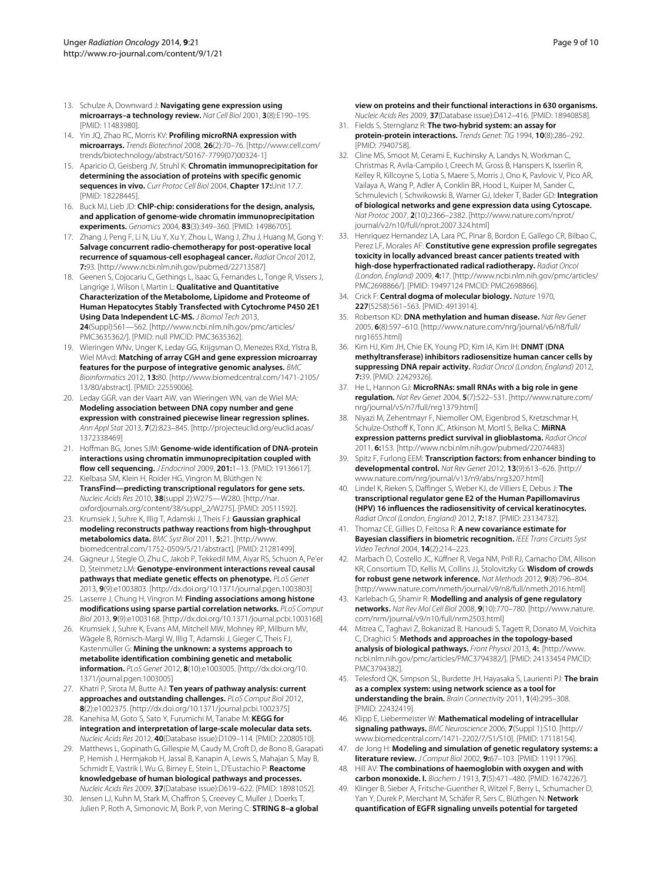- <span id="page-8-0"></span>13. Schulze A, Downward J: **Navigating gene expression using microarrays–a technology review.** Nat Cell Biol 2001, **3**(8):E190–195. [PMID: 11483980].
- <span id="page-8-1"></span>14. Yin JQ, Zhao RC, Morris KV: **Profiling microRNA expression with microarrays.** Trends Biotechnol 2008, **26**(2):70–76. [\[http://www.cell.com/](http://www.cell.com/trends/biotechnology/abstract/S0167-7799(07)00324-1) [trends/biotechnology/abstract/S0167-7799\(07\)00324-1\]](http://www.cell.com/trends/biotechnology/abstract/S0167-7799(07)00324-1)
- <span id="page-8-2"></span>15. Aparicio O, Geisberg JV, Struhl K: **Chromatin immunoprecipitation for determining the association of proteins with specific genomic sequences in vivo.** Curr Protoc Cell Biol 2004, **Chapter 17:**Unit 17.7. [PMID: 18228445].
- <span id="page-8-3"></span>16. Buck MJ, Lieb JD: **ChIP-chip: considerations for the design, analysis, and application of genome-wide chromatin immunoprecipitation experiments.** Genomics 2004, **83**(3):349–360. [PMID: 14986705].
- <span id="page-8-4"></span>17. Zhang J, Peng F, Li N, Liu Y, Xu Y, Zhou L, Wang J, Zhu J, Huang M, Gong Y: **Salvage concurrent radio-chemotherapy for post-operative local recurrence of squamous-cell esophageal cancer.** Radiat Oncol 2012, **7:**93. [\[http://www.ncbi.nlm.nih.gov/pubmed/22713587\]](http://www.ncbi.nlm.nih.gov/pubmed/22713587)
- <span id="page-8-5"></span>18. Geenen S, Cojocariu C, Gethings L, Isaac G, Fernandes L, Tonge R, Vissers J, Langrige J, Wilson I, Martin L: **Qualitative and Quantitative Characterization of the Metabolome, Lipidome and Proteome of Human Hepatocytes Stably Transfected with Cytochrome P450 2E1 Using Data Independent LC-MS.** J Biomol Tech 2013, **24**(Suppl):S61—S62. [\[http://www.ncbi.nlm.nih.gov/pmc/articles/](http://www.ncbi.nlm.nih.gov/pmc/articles/PMC3635362/) [PMC3635362/\]](http://www.ncbi.nlm.nih.gov/pmc/articles/PMC3635362/). [PMID: null PMCID: PMC3635362].
- <span id="page-8-6"></span>19. Wieringen WNv, Unger K, Leday GG, Krijgsman O, Menezes RXd, Ylstra B, Wiel MAvd: **Matching of array CGH and gene expression microarray features for the purpose of integrative genomic analyses.** BMC Bioinformatics 2012, **13:**80. [\[http://www.biomedcentral.com/1471-2105/](http://www.biomedcentral.com/1471-2105/13/80/abstract) [13/80/abstract\]](http://www.biomedcentral.com/1471-2105/13/80/abstract). [PMID: 22559006].
- <span id="page-8-7"></span>20. Leday GGR, van der Vaart AW, van Wieringen WN, van de Wiel MA: **Modeling association between DNA copy number and gene expression with constrained piecewise linear regression splines.** Ann Appl Stat 2013, **7**(2):823–845. [\[http://projecteuclid.org/euclid.aoas/](http://projecteuclid.org/euclid.aoas/1372338469) [1372338469\]](http://projecteuclid.org/euclid.aoas/1372338469)
- <span id="page-8-8"></span>21. Hoffman BG, Jones SJM: **Genome-wide identification of DNA-protein interactions using chromatin immunoprecipitation coupled with flow cell sequencing.** J Endocrinol 2009, **201:**1–13. [PMID: 19136617].
- <span id="page-8-9"></span>22. Kielbasa SM, Klein H, Roider HG, Vingron M, Blüthgen N: **TransFind—predicting transcriptional regulators for gene sets.** Nucleic Acids Res 2010, **38**(suppl 2):W275—W280. [\[http://nar.](http://nar.oxfordjournals.org/content/38/suppl_2/W275) [oxfordjournals.org/content/38/suppl\\_2/W275\]](http://nar.oxfordjournals.org/content/38/suppl_2/W275). [PMID: 20511592].
- <span id="page-8-10"></span>23. Krumsiek J, Suhre K, Illig T, Adamski J, Theis FJ: **Gaussian graphical modeling reconstructs pathway reactions from high-throughput metabolomics data.** BMC Syst Biol 2011, **5:**21. [\[http://www.](http://www.biomedcentral.com/1752-0509/5/21/abstract) [biomedcentral.com/1752-0509/5/21/abstract\]](http://www.biomedcentral.com/1752-0509/5/21/abstract). [PMID: 21281499].
- <span id="page-8-11"></span>24. Gagneur J. Stegle O. Zhu C, Jakob P, Tekkedil MM, Aiyar RS, Schuon A, Pe'er D, Steinmetz LM: **Genotype-environment interactions reveal causal pathways that mediate genetic effects on phenotype.** PLoS Genet 2013, **9**(9):e1003803. [\[http://dx.doi.org/10.1371/journal.pgen.1003803\]](http://dx.doi.org/10.1371/journal.pgen.1003803)
- <span id="page-8-12"></span>25. Lasserre J, Chung H, Vingron M: **Finding associations among histone modifications using sparse partial correlation networks.** PLoS Comput Biol 2013, **9**(9):e1003168. [\[http://dx.doi.org/10.1371/journal.pcbi.1003168\]](http://dx.doi.org/10.1371/journal.pcbi.1003168)
- <span id="page-8-13"></span>26. Krumsiek J, Suhre K, Evans AM, Mitchell MW, Mohney RP, Milburn MV, Wägele B, Römisch-Margl W, Illig T, Adamski J, Gieger C, Theis FJ, Kastenmüller G: **Mining the unknown: a systems approach to metabolite identification combining genetic and metabolic information.** PLoS Genet 2012, **8**(10):e1003005. [\[http://dx.doi.org/10.](http://dx.doi.org/10.1371/journal.pgen.1003005) [1371/journal.pgen.1003005\]](http://dx.doi.org/10.1371/journal.pgen.1003005)
- <span id="page-8-21"></span>27. Khatri P, Sirota M, Butte AJ: **Ten years of pathway analysis: current approaches and outstanding challenges.** PLoS Comput Biol 2012, **8**(2):e1002375. [\[http://dx.doi.org/10.1371/journal.pcbi.1002375\]](http://dx.doi.org/10.1371/journal.pcbi.1002375)
- <span id="page-8-22"></span>28. Kanehisa M, Goto S, Sato Y, Furumichi M, Tanabe M: **KEGG for integration and interpretation of large-scale molecular data sets.** Nucleic Acids Res 2012, **40**(Database issue):D109–114. [PMID: 22080510].
- <span id="page-8-23"></span>29. Matthews L, Gopinath G, Gillespie M, Caudy M, Croft D, de Bono B, Garapati P, Hemish J, Hermjakob H, Jassal B, Kanapin A, Lewis S, Mahajan S, May B, Schmidt E, Vastrik I, Wu G, Birney E, Stein L, D'Eustachio P: **Reactome knowledgebase of human biological pathways and processes.** Nucleic Acids Res 2009, **37**(Database issue):D619–622. [PMID: 18981052].
- <span id="page-8-24"></span>30. Jensen LJ, Kuhn M, Stark M, Chaffron S, Creevey C, Muller J, Doerks T, Julien P, Roth A, Simonovic M, Bork P, von Mering C: **STRING 8–a global**
- <span id="page-8-25"></span>31. Fields S, Sternglanz R: **The two-hybrid system: an assay for protein-protein interactions.** Trends Genet: TIG 1994, **10**(8):286–292. [PMID: 7940758].
- <span id="page-8-26"></span>32. Cline MS, Smoot M, Cerami E, Kuchinsky A, Landys N, Workman C, Christmas R, Avila-Campilo I, Creech M, Gross B, Hanspers K, Isserlin R, Kelley R, Killcoyne S, Lotia S, Maere S, Morris J, Ono K, Pavlovic V, Pico AR, Vailaya A, Wang P, Adler A, Conklin BR, Hood L, Kuiper M, Sander C, Schmulevich I, Schwikowski B, Warner GJ, Ideker T, Bader GD: **Integration of biological networks and gene expression data using Cytoscape.** Nat Protoc 2007, **2**(10):2366–2382. [\[http://www.nature.com/nprot/](http://www.nature.com/nprot/journal/v2/n10/full/nprot.2007.324.html) [journal/v2/n10/full/nprot.2007.324.html\]](http://www.nature.com/nprot/journal/v2/n10/full/nprot.2007.324.html)
- <span id="page-8-27"></span>33. Henriquez Hernandez LA, Lara PC, Pinar B, Bordon E, Gallego CR, Bilbao C, Perez LF, Morales AF: **Constitutive gene expression profile segregates toxicity in locally advanced breast cancer patients treated with high-dose hyperfractionated radical radiotherapy.** Radiat Oncol (London, England) 2009, **4:**17. [\[http://www.ncbi.nlm.nih.gov/pmc/articles/](http://www.ncbi.nlm.nih.gov/pmc/articles/PMC2698866/) [PMC2698866/\]](http://www.ncbi.nlm.nih.gov/pmc/articles/PMC2698866/). [PMID: 19497124 PMCID: PMC2698866].
- <span id="page-8-14"></span>34. Crick F: **Central dogma of molecular biology.** Nature 1970, **227**(5258):561–563. [PMID: 4913914].
- <span id="page-8-15"></span>35. Robertson KD: **DNA methylation and human disease.** Nat Rev Genet 2005, **6**(8):597–610. [\[http://www.nature.com/nrg/journal/v6/n8/full/](http://www.nature.com/nrg/journal/v6/n8/full/nrg1655.html) [nrg1655.html\]](http://www.nature.com/nrg/journal/v6/n8/full/nrg1655.html)
- <span id="page-8-16"></span>36. Kim HJ, Kim JH, Chie EK, Young PD, Kim IA, Kim IH: **DNMT (DNA methyltransferase) inhibitors radiosensitize human cancer cells by suppressing DNA repair activity.** Radiat Oncol (London, England) 2012, **7:**39. [PMID: 22429326].
- <span id="page-8-17"></span>37. He L, Hannon GJ: **MicroRNAs: small RNAs with a big role in gene regulation.** Nat Rev Genet 2004, **5**(7):522–531. [\[http://www.nature.com/](http://www.nature.com/nrg/journal/v5/n7/full/nrg1379.html) [nrg/journal/v5/n7/full/nrg1379.html\]](http://www.nature.com/nrg/journal/v5/n7/full/nrg1379.html)
- <span id="page-8-18"></span>38. Niyazi M, Zehentmayr F, Niemoller OM, Eigenbrod S, Kretzschmar H, Schulze-Osthoff K, Tonn JC, Atkinson M, Mortl S, Belka C: **MiRNA expression patterns predict survival in glioblastoma.** Radiat Oncol 2011, **6:**153. [\[http://www.ncbi.nlm.nih.gov/pubmed/22074483\]](http://www.ncbi.nlm.nih.gov/pubmed/22074483)
- <span id="page-8-19"></span>39. Spitz F, Furlong EEM: **Transcription factors: from enhancer binding to developmental control.** Nat Rev Genet 2012, **13**(9):613–626. [\[http://](http://www.nature.com/nrg/journal/v13/n9/abs/nrg3207.html) [www.nature.com/nrg/journal/v13/n9/abs/nrg3207.html\]](http://www.nature.com/nrg/journal/v13/n9/abs/nrg3207.html)
- <span id="page-8-20"></span>40. Lindel K, Rieken S, Daffinger S, Weber KJ, de Villiers E, Debus J: **The transcriptional regulator gene E2 of the Human Papillomavirus (HPV) 16 influences the radiosensitivity of cervical keratinocytes.** Radiat Oncol (London, England) 2012, **7:**187. [PMID: 23134732].
- <span id="page-8-28"></span>41. Thomaz CE, Gillies D, Feitosa R: **A new covariance estimate for Bayesian classifiers in biometric recognition.** IEEE Trans Circuits Syst Video Technol 2004, **14**(2):214–223.
- <span id="page-8-29"></span>42. Marbach D, Costello JC, Küffner R, Vega NM, Prill RJ, Camacho DM, Allison KR, Consortium TD, Kellis M, Collins JJ, Stolovitzky G: **Wisdom of crowds for robust gene network inference.** Nat Methods 2012, **9**(8):796–804. [\[http://www.nature.com/nmeth/journal/v9/n8/full/nmeth.2016.html\]](http://www.nature.com/nmeth/journal/v9/n8/full/nmeth.2016.html)
- <span id="page-8-30"></span>43. Karlebach G, Shamir R: **Modelling and analysis of gene regulatory networks.** Nat Rev Mol Cell Biol 2008, **9**(10):770–780. [\[http://www.nature.](http://www.nature.com/nrm/journal/v9/n10/full/nrm2503.html) [com/nrm/journal/v9/n10/full/nrm2503.html\]](http://www.nature.com/nrm/journal/v9/n10/full/nrm2503.html)
- <span id="page-8-31"></span>44. Mitrea C, Taghavi Z, Bokanizad B, Hanoudi S, Tagett R, Donato M, Voichita C, Draghici S: **Methods and approaches in the topology-based analysis of biological pathways.** Front Physiol 2013, **4:**. [\[http://www.](http://www.ncbi.nlm.nih.gov/pmc/articles/PMC3794382/) [ncbi.nlm.nih.gov/pmc/articles/PMC3794382/\]](http://www.ncbi.nlm.nih.gov/pmc/articles/PMC3794382/). [PMID: 24133454 PMCID: PMC3794382].
- <span id="page-8-32"></span>45. Telesford QK, Simpson SL, Burdette JH, Hayasaka S, Laurienti PJ: **The brain as a complex system: using network science as a tool for understanding the brain.** Brain Connectivity 2011, **1**(4):295–308. [PMID: 22432419].
- <span id="page-8-33"></span>46. Klipp E, Liebermeister W: **Mathematical modeling of intracellular signaling pathways.** BMC Neuroscience 2006, **7**(Suppl 1):S10. [\[http://](http://www.biomedcentral.com/1471-2202/7/S1/S10) [www.biomedcentral.com/1471-2202/7/S1/S10\]](http://www.biomedcentral.com/1471-2202/7/S1/S10). [PMID: 17118154].
- <span id="page-8-34"></span>47. de Jong H: **Modeling and simulation of genetic regulatory systems: a literature review.** J Comput Biol 2002, **9:**67–103. [PMID: 11911796].
- <span id="page-8-35"></span>48. Hill AV: **The combinations of haemoglobin with oxygen and with carbon monoxide. I.** Biochem J 1913, **7**(5):471–480. [PMID: 16742267].
- <span id="page-8-36"></span>49. Klinger B, Sieber A, Fritsche-Guenther R, Witzel F, Berry L, Schumacher D, Yan Y, Durek P, Merchant M, Schäfer R, Sers C, Blüthgen N: **Network quantification of EGFR signaling unveils potential for targeted**